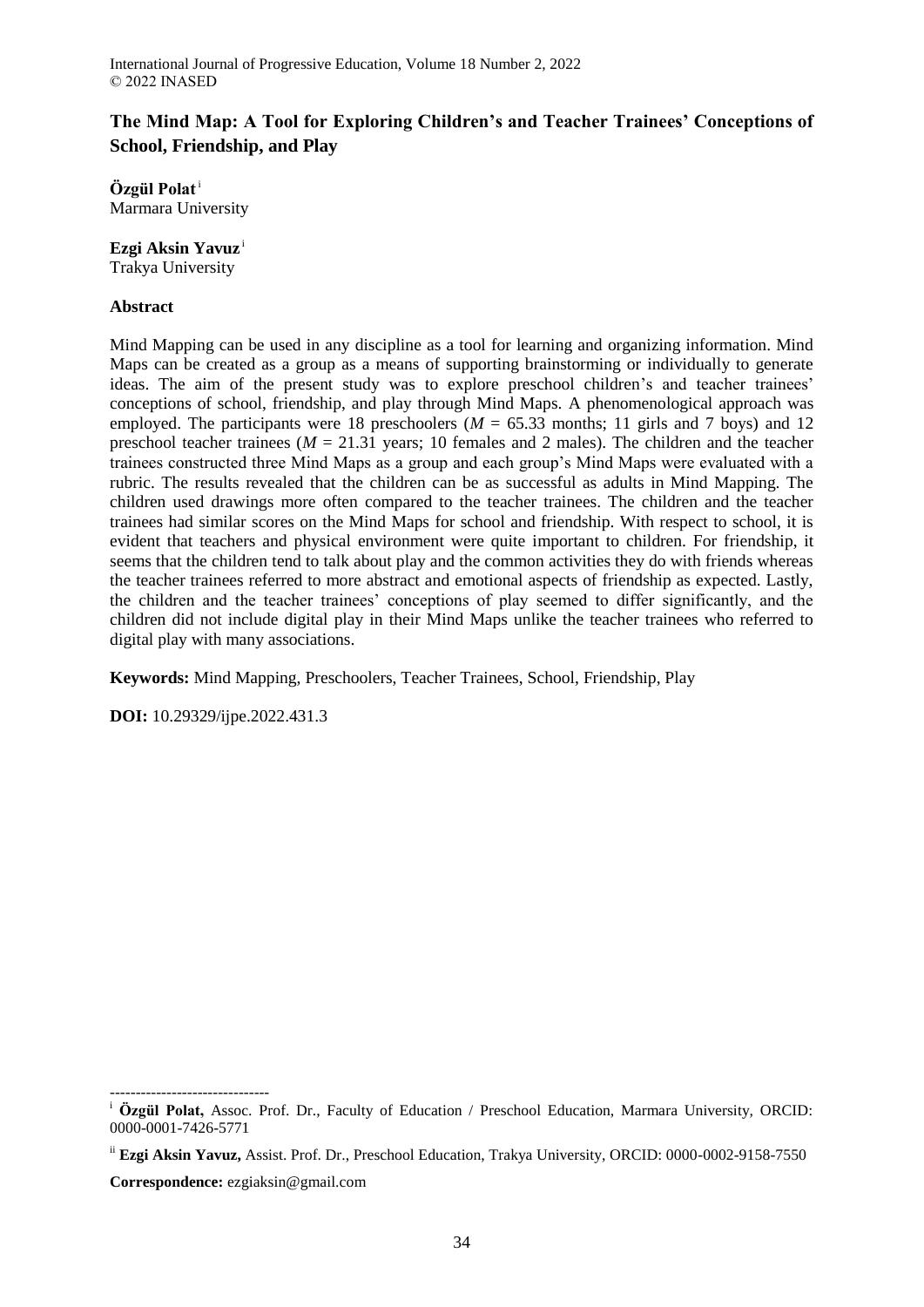# **The Mind Map: A Tool for Exploring Children's and Teacher Trainees' Conceptions of School, Friendship, and Play**

**Özgül Polat**<sup>i</sup> Marmara University

# **Ezgi Aksin Yavuz** <sup>i</sup>

Trakya University

# **Abstract**

Mind Mapping can be used in any discipline as a tool for learning and organizing information. Mind Maps can be created as a group as a means of supporting brainstorming or individually to generate ideas. The aim of the present study was to explore preschool children's and teacher trainees' conceptions of school, friendship, and play through Mind Maps. A phenomenological approach was employed. The participants were 18 preschoolers ( $M = 65.33$  months; 11 girls and 7 boys) and 12 preschool teacher trainees ( $M = 21.31$  years; 10 females and 2 males). The children and the teacher trainees constructed three Mind Maps as a group and each group's Mind Maps were evaluated with a rubric. The results revealed that the children can be as successful as adults in Mind Mapping. The children used drawings more often compared to the teacher trainees. The children and the teacher trainees had similar scores on the Mind Maps for school and friendship. With respect to school, it is evident that teachers and physical environment were quite important to children. For friendship, it seems that the children tend to talk about play and the common activities they do with friends whereas the teacher trainees referred to more abstract and emotional aspects of friendship as expected. Lastly, the children and the teacher trainees' conceptions of play seemed to differ significantly, and the children did not include digital play in their Mind Maps unlike the teacher trainees who referred to digital play with many associations.

**Keywords:** Mind Mapping, Preschoolers, Teacher Trainees, School, Friendship, Play

**DOI:** 10.29329/ijpe.2022.431.3

**Correspondence:** ezgiaksin@gmail.com

<sup>-------------------------------</sup> <sup>i</sup> **Özgül Polat,** Assoc. Prof. Dr., Faculty of Education / Preschool Education, Marmara University, ORCID: 0000-0001-7426-5771

ii **Ezgi Aksin Yavuz,** Assist. Prof. Dr., Preschool Education, Trakya University, ORCID: 0000-0002-9158-7550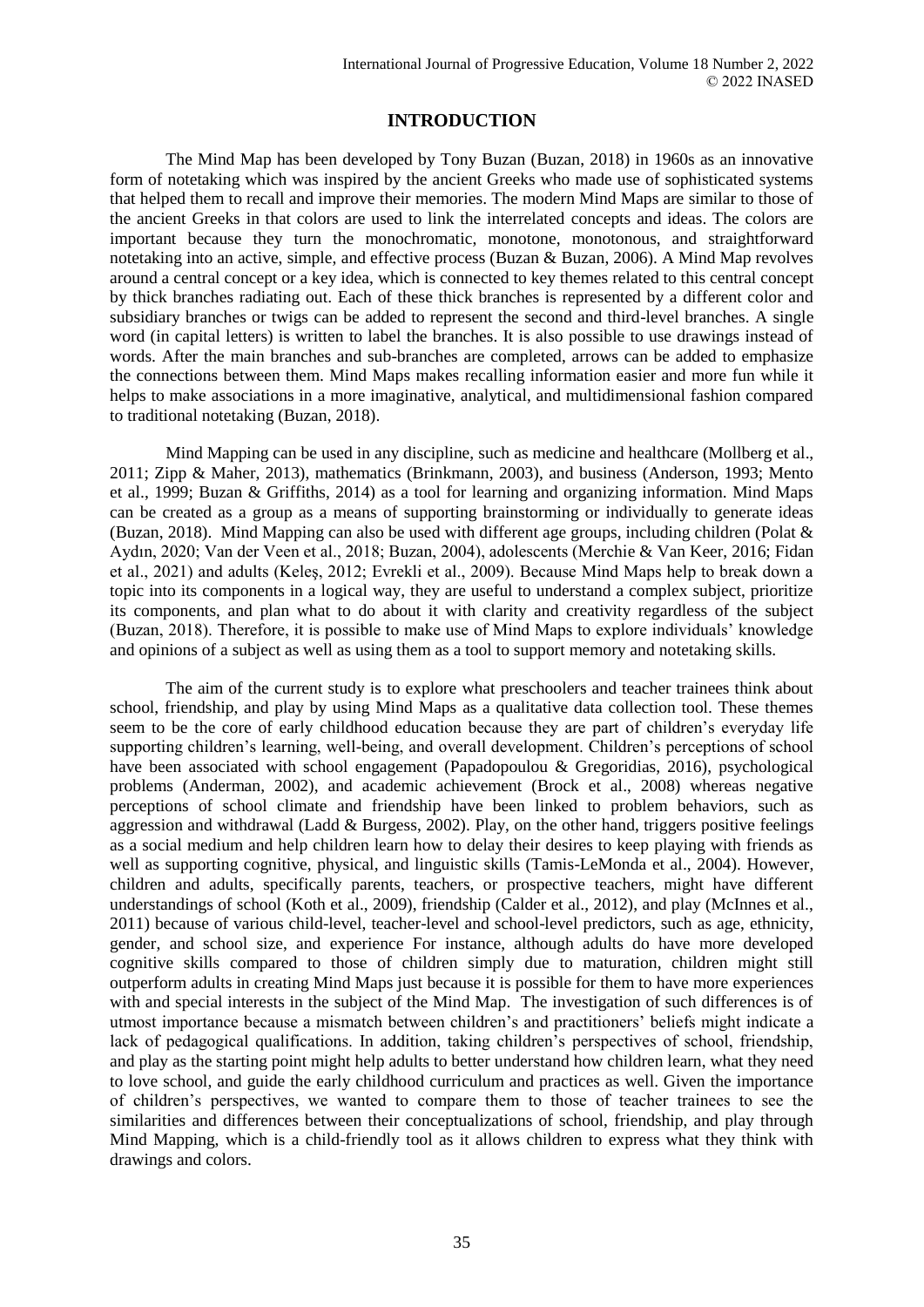# **INTRODUCTION**

The Mind Map has been developed by Tony Buzan (Buzan, 2018) in 1960s as an innovative form of notetaking which was inspired by the ancient Greeks who made use of sophisticated systems that helped them to recall and improve their memories. The modern Mind Maps are similar to those of the ancient Greeks in that colors are used to link the interrelated concepts and ideas. The colors are important because they turn the monochromatic, monotone, monotonous, and straightforward notetaking into an active, simple, and effective process (Buzan & Buzan, 2006). A Mind Map revolves around a central concept or a key idea, which is connected to key themes related to this central concept by thick branches radiating out. Each of these thick branches is represented by a different color and subsidiary branches or twigs can be added to represent the second and third-level branches. A single word (in capital letters) is written to label the branches. It is also possible to use drawings instead of words. After the main branches and sub-branches are completed, arrows can be added to emphasize the connections between them. Mind Maps makes recalling information easier and more fun while it helps to make associations in a more imaginative, analytical, and multidimensional fashion compared to traditional notetaking (Buzan, 2018).

Mind Mapping can be used in any discipline, such as medicine and healthcare (Mollberg et al., 2011; Zipp & Maher, 2013), mathematics (Brinkmann, 2003), and business (Anderson, 1993; Mento et al., 1999; Buzan & Griffiths, 2014) as a tool for learning and organizing information. Mind Maps can be created as a group as a means of supporting brainstorming or individually to generate ideas (Buzan, 2018). Mind Mapping can also be used with different age groups, including children (Polat & Aydın, 2020; Van der Veen et al., 2018; Buzan, 2004), adolescents (Merchie & Van Keer, 2016; Fidan et al., 2021) and adults (Keleş, 2012; Evrekli et al., 2009). Because Mind Maps help to break down a topic into its components in a logical way, they are useful to understand a complex subject, prioritize its components, and plan what to do about it with clarity and creativity regardless of the subject (Buzan, 2018). Therefore, it is possible to make use of Mind Maps to explore individuals' knowledge and opinions of a subject as well as using them as a tool to support memory and notetaking skills.

The aim of the current study is to explore what preschoolers and teacher trainees think about school, friendship, and play by using Mind Maps as a qualitative data collection tool. These themes seem to be the core of early childhood education because they are part of children's everyday life supporting children's learning, well-being, and overall development. Children's perceptions of school have been associated with school engagement (Papadopoulou & Gregoridias, 2016), psychological problems (Anderman, 2002), and academic achievement (Brock et al., 2008) whereas negative perceptions of school climate and friendship have been linked to problem behaviors, such as aggression and withdrawal (Ladd & Burgess, 2002). Play, on the other hand, triggers positive feelings as a social medium and help children learn how to delay their desires to keep playing with friends as well as supporting cognitive, physical, and linguistic skills (Tamis-LeMonda et al., 2004). However, children and adults, specifically parents, teachers, or prospective teachers, might have different understandings of school (Koth et al., 2009), friendship (Calder et al., 2012), and play (McInnes et al., 2011) because of various child-level, teacher-level and school-level predictors, such as age, ethnicity, gender, and school size, and experience For instance, although adults do have more developed cognitive skills compared to those of children simply due to maturation, children might still outperform adults in creating Mind Maps just because it is possible for them to have more experiences with and special interests in the subject of the Mind Map. The investigation of such differences is of utmost importance because a mismatch between children's and practitioners' beliefs might indicate a lack of pedagogical qualifications. In addition, taking children's perspectives of school, friendship, and play as the starting point might help adults to better understand how children learn, what they need to love school, and guide the early childhood curriculum and practices as well. Given the importance of children's perspectives, we wanted to compare them to those of teacher trainees to see the similarities and differences between their conceptualizations of school, friendship, and play through Mind Mapping, which is a child-friendly tool as it allows children to express what they think with drawings and colors.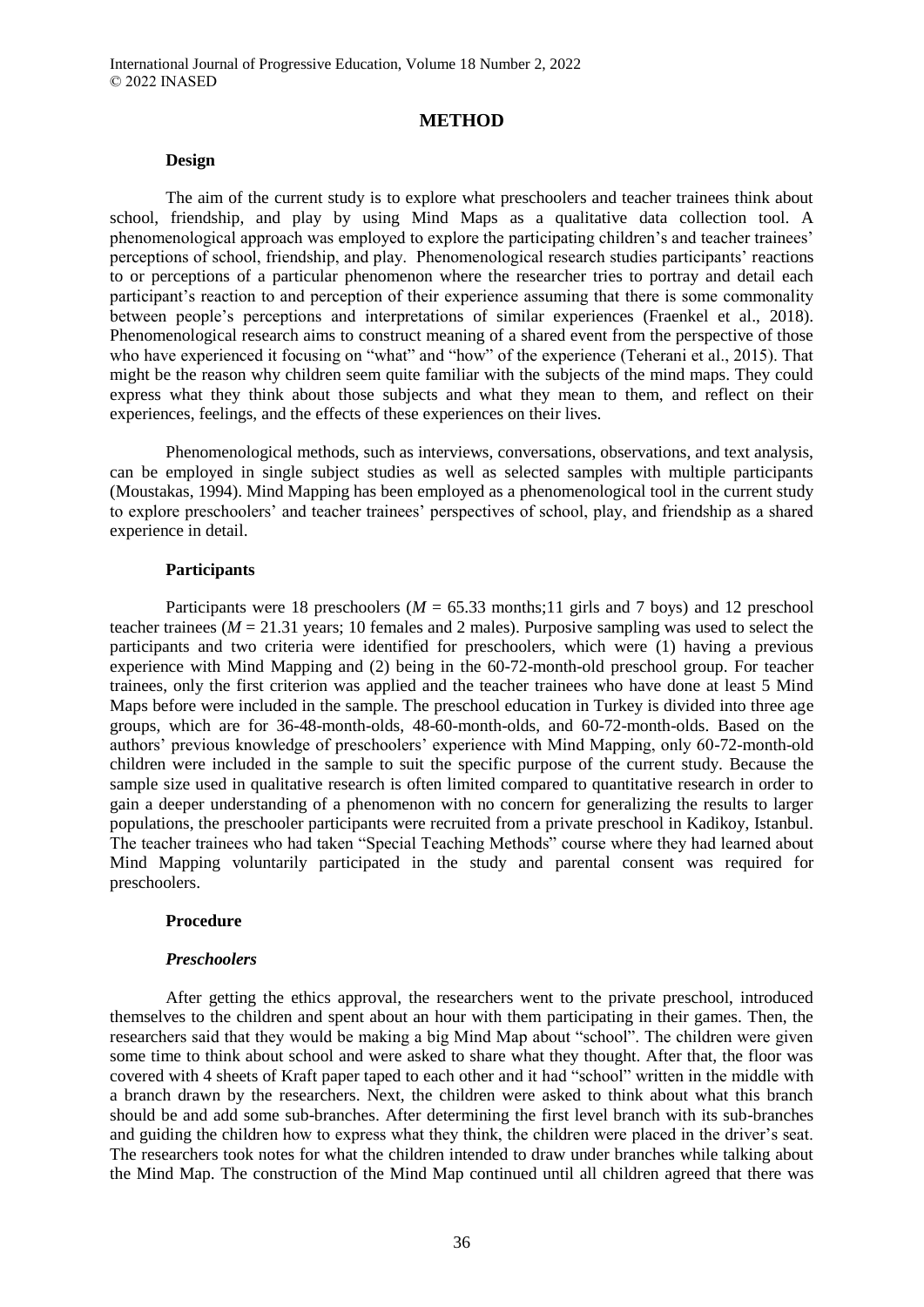### **METHOD**

### **Design**

The aim of the current study is to explore what preschoolers and teacher trainees think about school, friendship, and play by using Mind Maps as a qualitative data collection tool. A phenomenological approach was employed to explore the participating children's and teacher trainees' perceptions of school, friendship, and play. Phenomenological research studies participants' reactions to or perceptions of a particular phenomenon where the researcher tries to portray and detail each participant's reaction to and perception of their experience assuming that there is some commonality between people's perceptions and interpretations of similar experiences (Fraenkel et al., 2018). Phenomenological research aims to construct meaning of a shared event from the perspective of those who have experienced it focusing on "what" and "how" of the experience (Teherani et al., 2015). That might be the reason why children seem quite familiar with the subjects of the mind maps. They could express what they think about those subjects and what they mean to them, and reflect on their experiences, feelings, and the effects of these experiences on their lives.

Phenomenological methods, such as interviews, conversations, observations, and text analysis, can be employed in single subject studies as well as selected samples with multiple participants (Moustakas, 1994). Mind Mapping has been employed as a phenomenological tool in the current study to explore preschoolers' and teacher trainees' perspectives of school, play, and friendship as a shared experience in detail.

### **Participants**

Participants were 18 preschoolers ( $M = 65.33$  months;11 girls and 7 boys) and 12 preschool teacher trainees  $(M = 21.31$  years; 10 females and 2 males). Purposive sampling was used to select the participants and two criteria were identified for preschoolers, which were (1) having a previous experience with Mind Mapping and (2) being in the 60-72-month-old preschool group. For teacher trainees, only the first criterion was applied and the teacher trainees who have done at least 5 Mind Maps before were included in the sample. The preschool education in Turkey is divided into three age groups, which are for 36-48-month-olds, 48-60-month-olds, and 60-72-month-olds. Based on the authors' previous knowledge of preschoolers' experience with Mind Mapping, only 60-72-month-old children were included in the sample to suit the specific purpose of the current study. Because the sample size used in qualitative research is often limited compared to quantitative research in order to gain a deeper understanding of a phenomenon with no concern for generalizing the results to larger populations, the preschooler participants were recruited from a private preschool in Kadikoy, Istanbul. The teacher trainees who had taken "Special Teaching Methods" course where they had learned about Mind Mapping voluntarily participated in the study and parental consent was required for preschoolers.

#### **Procedure**

### *Preschoolers*

After getting the ethics approval, the researchers went to the private preschool, introduced themselves to the children and spent about an hour with them participating in their games. Then, the researchers said that they would be making a big Mind Map about "school". The children were given some time to think about school and were asked to share what they thought. After that, the floor was covered with 4 sheets of Kraft paper taped to each other and it had "school" written in the middle with a branch drawn by the researchers. Next, the children were asked to think about what this branch should be and add some sub-branches. After determining the first level branch with its sub-branches and guiding the children how to express what they think, the children were placed in the driver's seat. The researchers took notes for what the children intended to draw under branches while talking about the Mind Map. The construction of the Mind Map continued until all children agreed that there was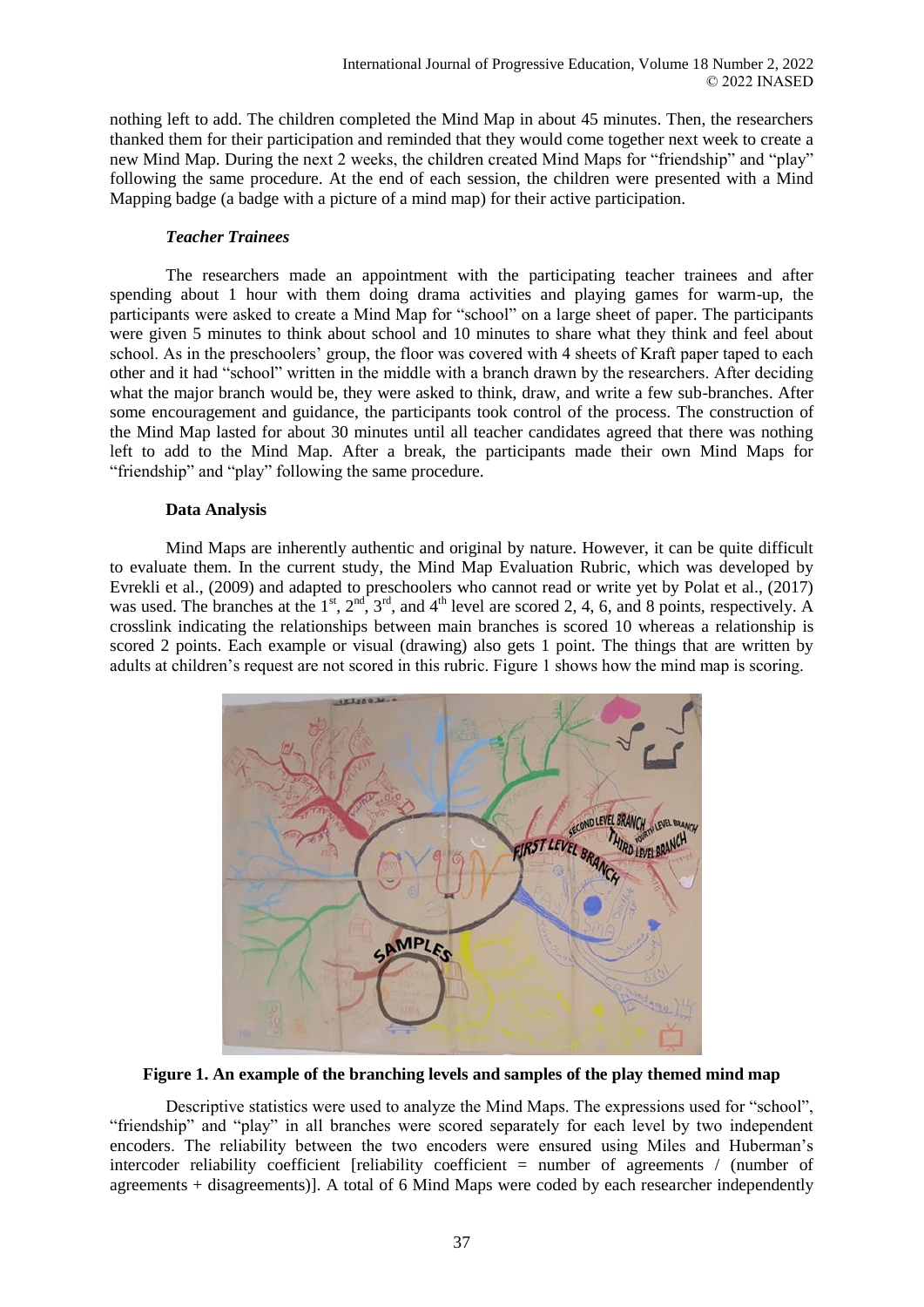nothing left to add. The children completed the Mind Map in about 45 minutes. Then, the researchers thanked them for their participation and reminded that they would come together next week to create a new Mind Map. During the next 2 weeks, the children created Mind Maps for "friendship" and "play" following the same procedure. At the end of each session, the children were presented with a Mind Mapping badge (a badge with a picture of a mind map) for their active participation.

# *Teacher Trainees*

The researchers made an appointment with the participating teacher trainees and after spending about 1 hour with them doing drama activities and playing games for warm-up, the participants were asked to create a Mind Map for "school" on a large sheet of paper. The participants were given 5 minutes to think about school and 10 minutes to share what they think and feel about school. As in the preschoolers' group, the floor was covered with 4 sheets of Kraft paper taped to each other and it had "school" written in the middle with a branch drawn by the researchers. After deciding what the major branch would be, they were asked to think, draw, and write a few sub-branches. After some encouragement and guidance, the participants took control of the process. The construction of the Mind Map lasted for about 30 minutes until all teacher candidates agreed that there was nothing left to add to the Mind Map. After a break, the participants made their own Mind Maps for "friendship" and "play" following the same procedure.

# **Data Analysis**

Mind Maps are inherently authentic and original by nature. However, it can be quite difficult to evaluate them. In the current study, the Mind Map Evaluation Rubric, which was developed by Evrekli et al., (2009) and adapted to preschoolers who cannot read or write yet by Polat et al., (2017) was used. The branches at the  $1<sup>st</sup>$ ,  $2<sup>nd</sup>$ ,  $3<sup>rd</sup>$ , and  $4<sup>th</sup>$  level are scored 2, 4, 6, and 8 points, respectively. A crosslink indicating the relationships between main branches is scored 10 whereas a relationship is scored 2 points. Each example or visual (drawing) also gets 1 point. The things that are written by adults at children's request are not scored in this rubric. Figure 1 shows how the mind map is scoring.



**Figure 1. An example of the branching levels and samples of the play themed mind map**

Descriptive statistics were used to analyze the Mind Maps. The expressions used for "school", "friendship" and "play" in all branches were scored separately for each level by two independent encoders. The reliability between the two encoders were ensured using Miles and Huberman's intercoder reliability coefficient [reliability coefficient = number of agreements / (number of agreements + disagreements)]. A total of 6 Mind Maps were coded by each researcher independently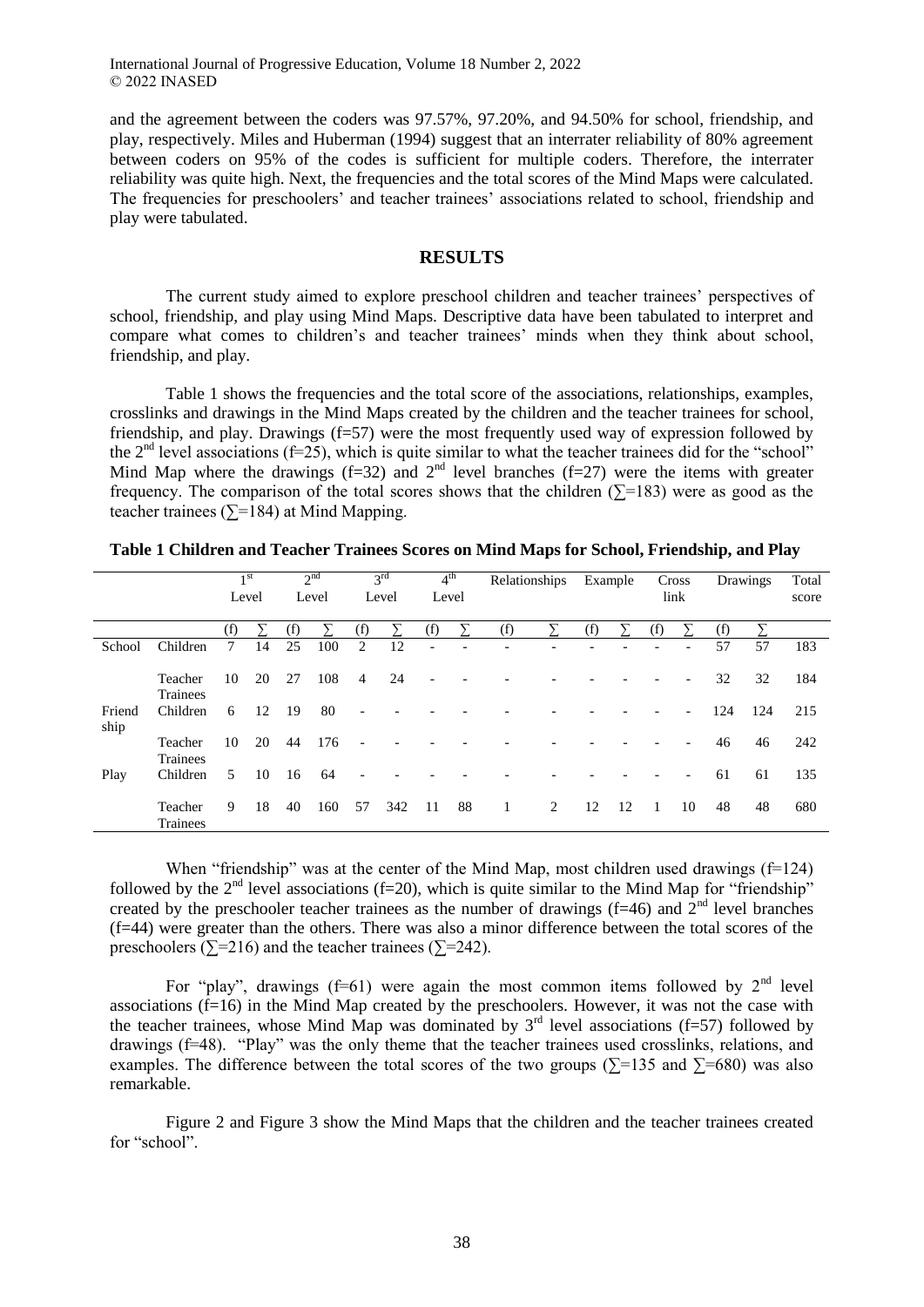and the agreement between the coders was 97.57%, 97.20%, and 94.50% for school, friendship, and play, respectively. Miles and Huberman (1994) suggest that an interrater reliability of 80% agreement between coders on 95% of the codes is sufficient for multiple coders. Therefore, the interrater reliability was quite high. Next, the frequencies and the total scores of the Mind Maps were calculated. The frequencies for preschoolers' and teacher trainees' associations related to school, friendship and play were tabulated.

### **RESULTS**

The current study aimed to explore preschool children and teacher trainees' perspectives of school, friendship, and play using Mind Maps. Descriptive data have been tabulated to interpret and compare what comes to children's and teacher trainees' minds when they think about school, friendship, and play.

Table 1 shows the frequencies and the total score of the associations, relationships, examples, crosslinks and drawings in the Mind Maps created by the children and the teacher trainees for school, friendship, and play. Drawings (f=57) were the most frequently used way of expression followed by the  $2<sup>nd</sup>$  level associations (f=25), which is quite similar to what the teacher trainees did for the "school" Mind Map where the drawings  $(f=32)$  and  $2<sup>nd</sup>$  level branches  $(f=27)$  were the items with greater frequency. The comparison of the total scores shows that the children ( $\Sigma$ =183) were as good as the teacher trainees ( $\Sigma$ =184) at Mind Mapping.

|                |                            |     | 1 <sup>st</sup><br>Level |     | 2 <sup>nd</sup><br>Level |                | $3^{\text{rd}}$<br>Level | Level | 4 <sup>th</sup> | Relationships |   |     | Example |     | Cross<br>link                |     | Drawings | Total<br>score |
|----------------|----------------------------|-----|--------------------------|-----|--------------------------|----------------|--------------------------|-------|-----------------|---------------|---|-----|---------|-----|------------------------------|-----|----------|----------------|
|                |                            | (f) |                          | (f) |                          | (f)            |                          | (f)   |                 | (f)           |   | (f) |         | (f) |                              | (f) |          |                |
| School         | Children                   | 7   | 14                       | 25  | 100                      | $\overline{c}$ | 12                       |       |                 |               |   |     |         |     | $\overline{\phantom{a}}$     | 57  | 57       | 183            |
|                | Teacher<br><b>Trainees</b> | 10  | 20                       | 27  | 108                      | $\overline{4}$ | 24                       |       |                 |               |   |     |         |     | $\qquad \qquad \blacksquare$ | 32  | 32       | 184            |
| Friend<br>ship | Children                   | 6   | 12                       | 19  | 80                       |                |                          |       |                 |               |   |     |         |     | $\overline{\phantom{a}}$     | 124 | 124      | 215            |
|                | Teacher<br>Trainees        | 10  | 20                       | 44  | 176                      |                |                          |       |                 |               |   |     |         |     | $\overline{\phantom{a}}$     | 46  | 46       | 242            |
| Play           | Children                   | 5   | 10                       | 16  | 64                       |                |                          |       |                 |               |   |     |         |     | $\qquad \qquad \blacksquare$ | 61  | 61       | 135            |
|                | Teacher<br>Trainees        | 9   | 18                       | 40  | 160                      | 57             | 342                      | 11    | 88              | 1             | 2 | 12  | 12      | 1   | 10                           | 48  | 48       | 680            |

**Table 1 Children and Teacher Trainees Scores on Mind Maps for School, Friendship, and Play**

When "friendship" was at the center of the Mind Map, most children used drawings (f=124) followed by the  $2^{nd}$  level associations (f=20), which is quite similar to the Mind Map for "friendship" created by the preschooler teacher trainees as the number of drawings ( $f=46$ ) and  $2<sup>nd</sup>$  level branches (f=44) were greater than the others. There was also a minor difference between the total scores of the preschoolers ( $\Sigma$ =216) and the teacher trainees ( $\Sigma$ =242).

For "play", drawings (f=61) were again the most common items followed by  $2<sup>nd</sup>$  level associations  $(f=16)$  in the Mind Map created by the preschoolers. However, it was not the case with the teacher trainees, whose Mind Map was dominated by  $3<sup>rd</sup>$  level associations (f=57) followed by drawings (f=48). "Play" was the only theme that the teacher trainees used crosslinks, relations, and examples. The difference between the total scores of the two groups ( $\Sigma$ =135 and  $\Sigma$ =680) was also remarkable.

Figure 2 and Figure 3 show the Mind Maps that the children and the teacher trainees created for "school".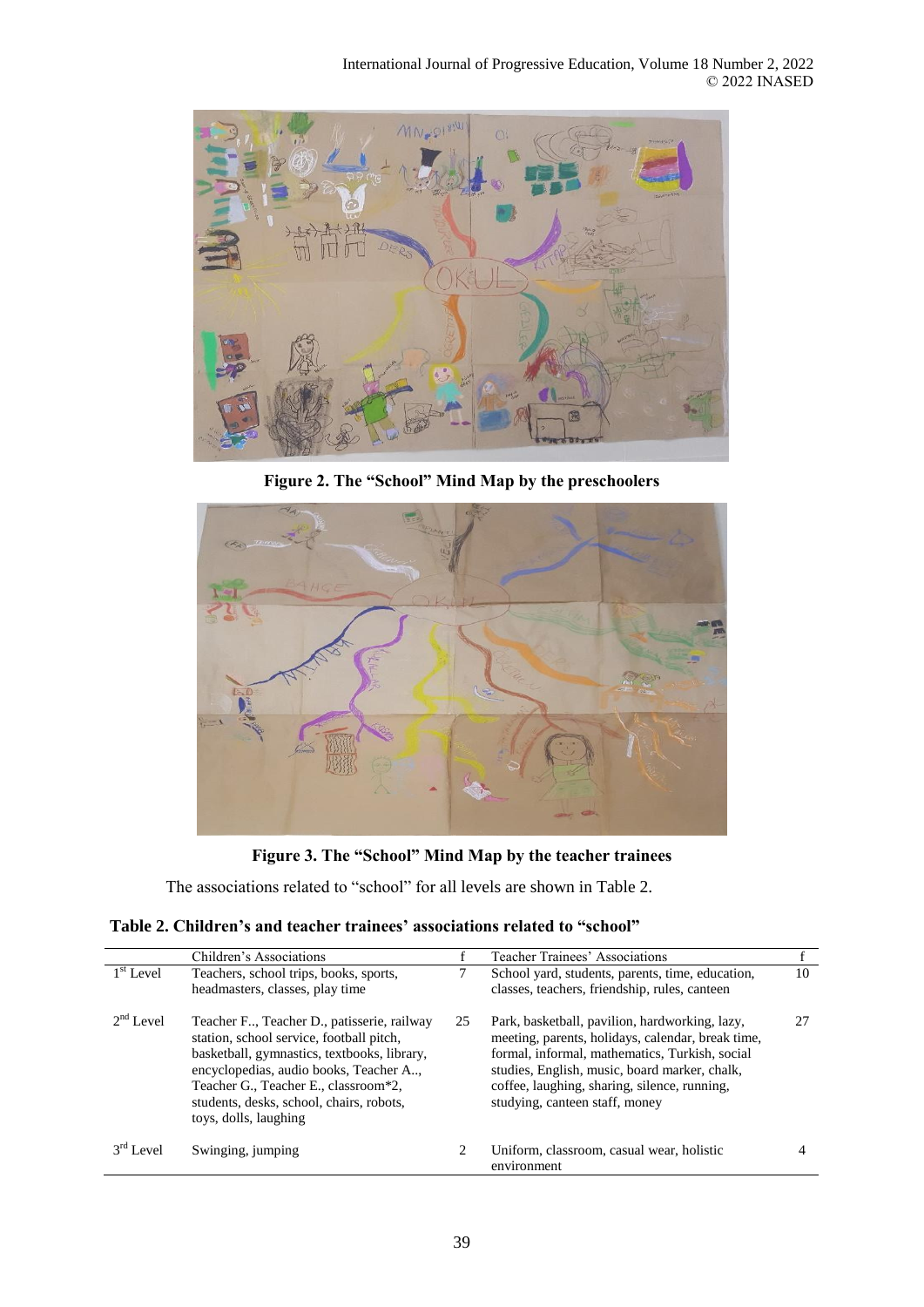

**Figure 2. The "School" Mind Map by the preschoolers**



**Figure 3. The "School" Mind Map by the teacher trainees**

The associations related to "school" for all levels are shown in Table 2.

|  |  |  |  | Table 2. Children's and teacher trainees' associations related to "school" |  |  |
|--|--|--|--|----------------------------------------------------------------------------|--|--|
|--|--|--|--|----------------------------------------------------------------------------|--|--|

|                       | Children's Associations                                                                                                                                                                                                                                                                     |    | Teacher Trainees' Associations                                                                                                                                                                                                                                                           |    |
|-----------------------|---------------------------------------------------------------------------------------------------------------------------------------------------------------------------------------------------------------------------------------------------------------------------------------------|----|------------------------------------------------------------------------------------------------------------------------------------------------------------------------------------------------------------------------------------------------------------------------------------------|----|
| $1st$ Level           | Teachers, school trips, books, sports,<br>headmasters, classes, play time                                                                                                                                                                                                                   | 7  | School yard, students, parents, time, education,<br>classes, teachers, friendship, rules, canteen                                                                                                                                                                                        | 10 |
| $2nd$ Level           | Teacher F, Teacher D., patisserie, railway<br>station, school service, football pitch,<br>basketball, gymnastics, textbooks, library,<br>encyclopedias, audio books, Teacher A<br>Teacher G., Teacher E., classroom*2,<br>students, desks, school, chairs, robots,<br>toys, dolls, laughing | 25 | Park, basketball, pavilion, hardworking, lazy,<br>meeting, parents, holidays, calendar, break time,<br>formal, informal, mathematics, Turkish, social<br>studies, English, music, board marker, chalk,<br>coffee, laughing, sharing, silence, running,<br>studying, canteen staff, money |    |
| $3^{\text{rd}}$ Level | Swinging, jumping                                                                                                                                                                                                                                                                           | 2  | Uniform, classroom, casual wear, holistic<br>environment                                                                                                                                                                                                                                 |    |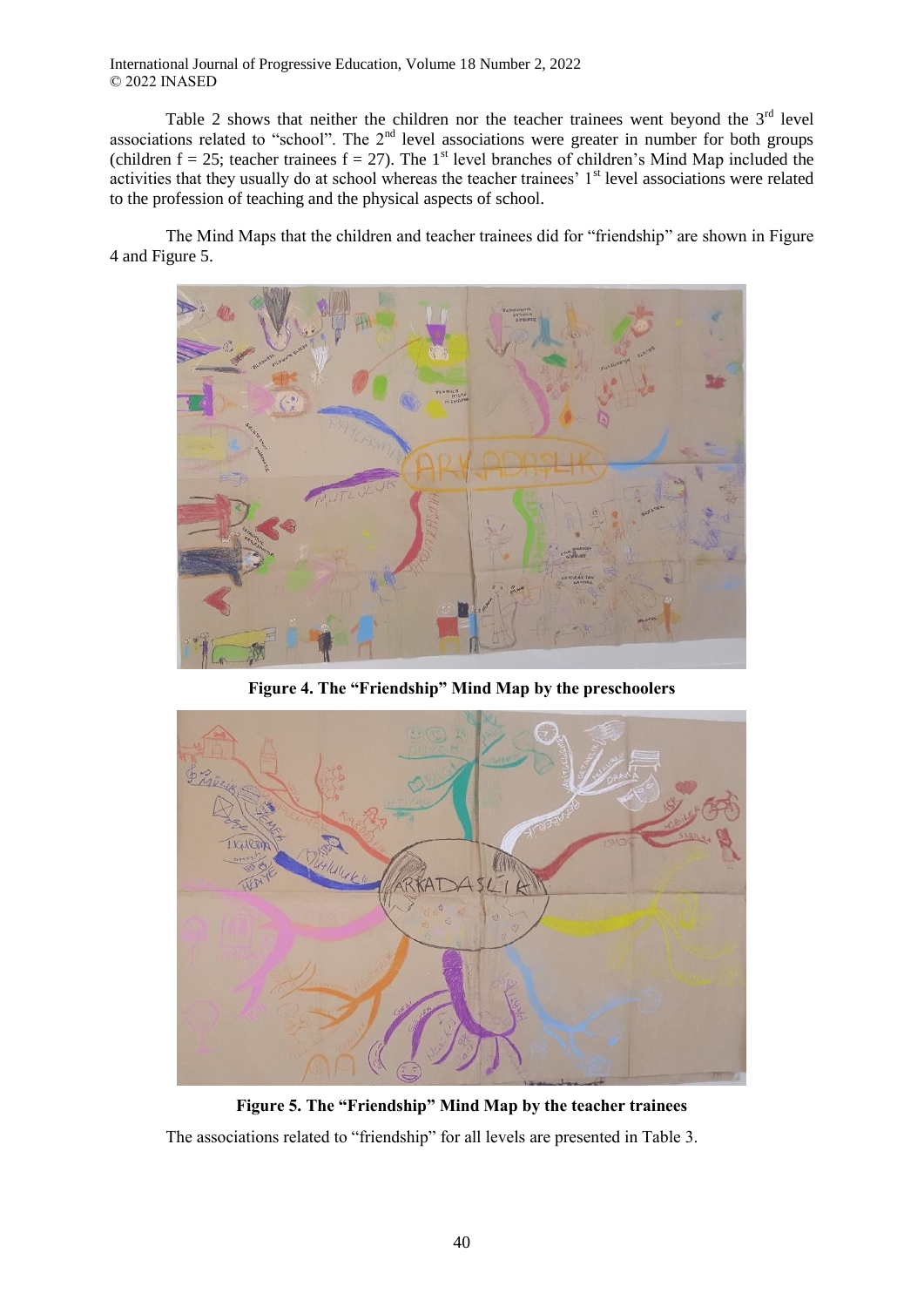Table 2 shows that neither the children nor the teacher trainees went beyond the  $3<sup>rd</sup>$  level associations related to "school". The 2<sup>nd</sup> level associations were greater in number for both groups (children  $f = 25$ ; teacher trainees  $f = 27$ ). The 1<sup>st</sup> level branches of children's Mind Map included the activities that they usually do at school whereas the teacher trainees' 1<sup>st</sup> level associations were related to the profession of teaching and the physical aspects of school.

The Mind Maps that the children and teacher trainees did for "friendship" are shown in Figure 4 and Figure 5.



**Figure 4. The "Friendship" Mind Map by the preschoolers**



**Figure 5. The "Friendship" Mind Map by the teacher trainees** The associations related to "friendship" for all levels are presented in Table 3.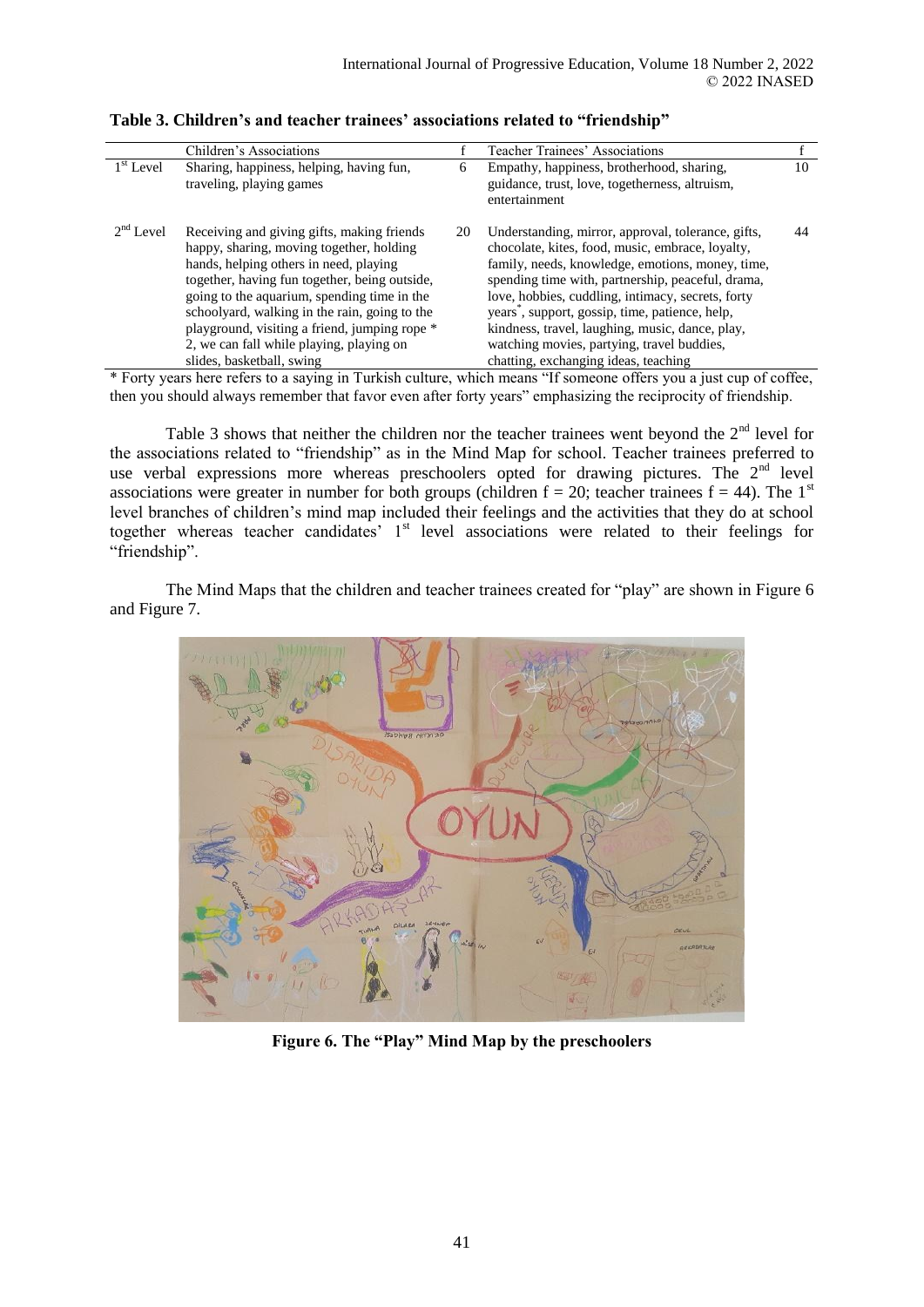|             | Children's Associations                                                                                                                                                                                                                                                                                                                                                                                     |    | Teacher Trainees' Associations                                                                                                                                                                                                                                                                                                                                                                                                                                               |    |
|-------------|-------------------------------------------------------------------------------------------------------------------------------------------------------------------------------------------------------------------------------------------------------------------------------------------------------------------------------------------------------------------------------------------------------------|----|------------------------------------------------------------------------------------------------------------------------------------------------------------------------------------------------------------------------------------------------------------------------------------------------------------------------------------------------------------------------------------------------------------------------------------------------------------------------------|----|
| $1st$ Level | Sharing, happiness, helping, having fun,<br>traveling, playing games                                                                                                                                                                                                                                                                                                                                        | 6  | Empathy, happiness, brotherhood, sharing,<br>guidance, trust, love, togetherness, altruism,<br>entertainment                                                                                                                                                                                                                                                                                                                                                                 | 10 |
| $2nd$ Level | Receiving and giving gifts, making friends<br>happy, sharing, moving together, holding<br>hands, helping others in need, playing<br>together, having fun together, being outside,<br>going to the aquarium, spending time in the<br>schoolyard, walking in the rain, going to the<br>playground, visiting a friend, jumping rope *<br>2, we can fall while playing, playing on<br>slides, basketball, swing | 20 | Understanding, mirror, approval, tolerance, gifts,<br>chocolate, kites, food, music, embrace, loyalty,<br>family, needs, knowledge, emotions, money, time,<br>spending time with, partnership, peaceful, drama,<br>love, hobbies, cuddling, intimacy, secrets, forty<br>years <sup>*</sup> , support, gossip, time, patience, help,<br>kindness, travel, laughing, music, dance, play,<br>watching movies, partying, travel buddies,<br>chatting, exchanging ideas, teaching | 44 |

**Table 3. Children's and teacher trainees' associations related to "friendship"**

\* Forty years here refers to a saying in Turkish culture, which means "If someone offers you a just cup of coffee, then you should always remember that favor even after forty years" emphasizing the reciprocity of friendship.

Table 3 shows that neither the children nor the teacher trainees went beyond the  $2<sup>nd</sup>$  level for the associations related to "friendship" as in the Mind Map for school. Teacher trainees preferred to use verbal expressions more whereas preschoolers opted for drawing pictures. The 2<sup>nd</sup> level associations were greater in number for both groups (children  $f = 20$ ; teacher trainees  $f = 44$ ). The 1<sup>st</sup> level branches of children's mind map included their feelings and the activities that they do at school together whereas teacher candidates' 1<sup>st</sup> level associations were related to their feelings for "friendship".

The Mind Maps that the children and teacher trainees created for "play" are shown in Figure 6 and Figure 7.



**Figure 6. The "Play" Mind Map by the preschoolers**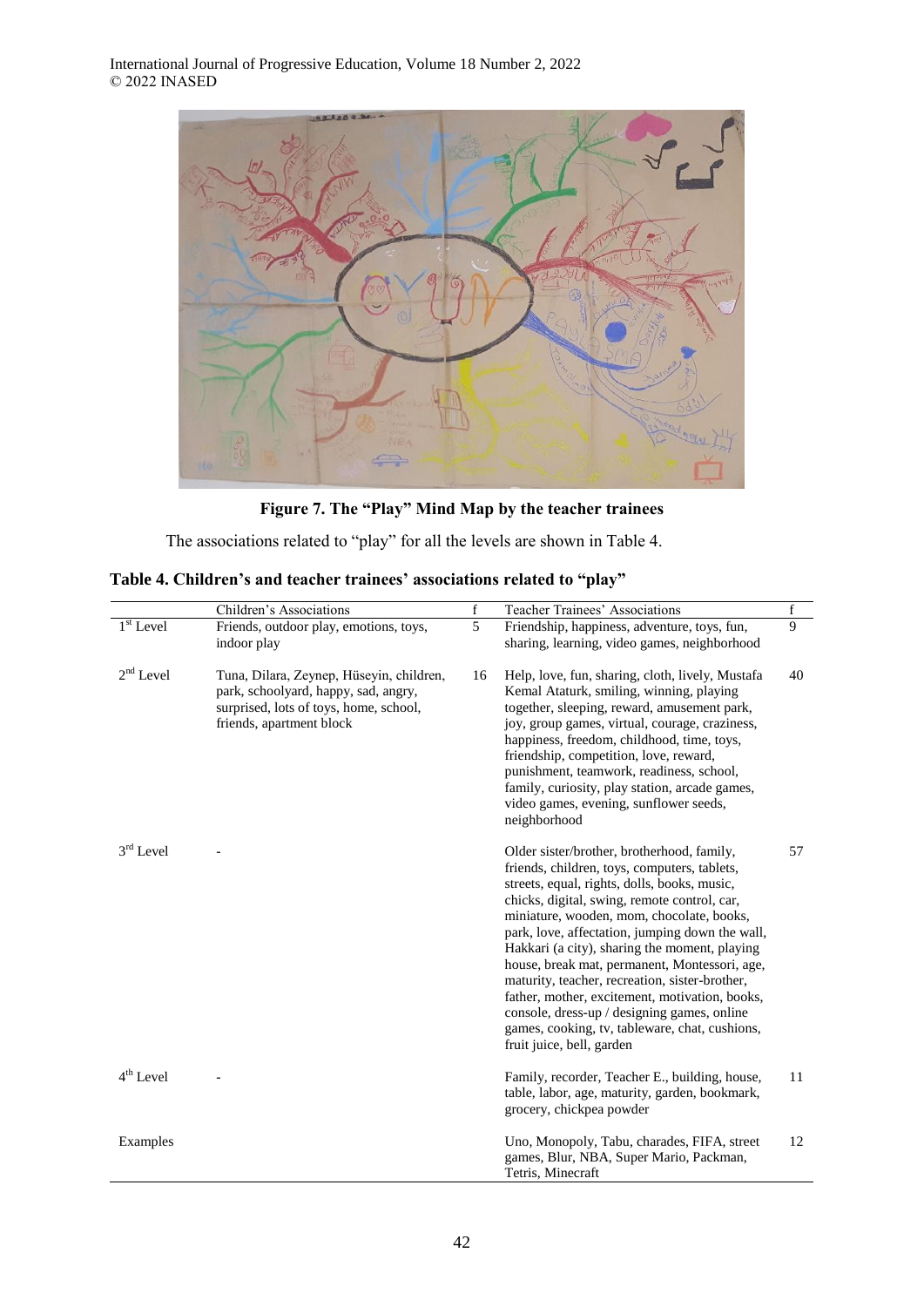

**Figure 7. The "Play" Mind Map by the teacher trainees**

The associations related to "play" for all the levels are shown in Table 4.

| Table 4. Children's and teacher trainees' associations related to "play" |  |
|--------------------------------------------------------------------------|--|
|--------------------------------------------------------------------------|--|

|                       | Children's Associations                                                                                                                                | $\mathbf f$ | Teacher Trainees' Associations                                                                                                                                                                                                                                                                                                                                                                                                                                                                                                                                                                                                 | $\mathbf f$ |
|-----------------------|--------------------------------------------------------------------------------------------------------------------------------------------------------|-------------|--------------------------------------------------------------------------------------------------------------------------------------------------------------------------------------------------------------------------------------------------------------------------------------------------------------------------------------------------------------------------------------------------------------------------------------------------------------------------------------------------------------------------------------------------------------------------------------------------------------------------------|-------------|
| $1st$ Level           | Friends, outdoor play, emotions, toys,<br>indoor play                                                                                                  | 5           | Friendship, happiness, adventure, toys, fun,<br>sharing, learning, video games, neighborhood                                                                                                                                                                                                                                                                                                                                                                                                                                                                                                                                   | 9           |
| $2nd$ Level           | Tuna, Dilara, Zeynep, Hüseyin, children,<br>park, schoolyard, happy, sad, angry,<br>surprised, lots of toys, home, school,<br>friends, apartment block | 16          | Help, love, fun, sharing, cloth, lively, Mustafa<br>Kemal Ataturk, smiling, winning, playing<br>together, sleeping, reward, amusement park,<br>joy, group games, virtual, courage, craziness,<br>happiness, freedom, childhood, time, toys,<br>friendship, competition, love, reward,<br>punishment, teamwork, readiness, school,<br>family, curiosity, play station, arcade games,<br>video games, evening, sunflower seeds,<br>neighborhood                                                                                                                                                                                  | 40          |
| $3rd$ Level           |                                                                                                                                                        |             | Older sister/brother, brotherhood, family,<br>friends, children, toys, computers, tablets,<br>streets, equal, rights, dolls, books, music,<br>chicks, digital, swing, remote control, car,<br>miniature, wooden, mom, chocolate, books,<br>park, love, affectation, jumping down the wall,<br>Hakkari (a city), sharing the moment, playing<br>house, break mat, permanent, Montessori, age,<br>maturity, teacher, recreation, sister-brother,<br>father, mother, excitement, motivation, books,<br>console, dress-up / designing games, online<br>games, cooking, tv, tableware, chat, cushions,<br>fruit juice, bell, garden | 57          |
| 4 <sup>th</sup> Level |                                                                                                                                                        |             | Family, recorder, Teacher E., building, house,<br>table, labor, age, maturity, garden, bookmark,<br>grocery, chickpea powder                                                                                                                                                                                                                                                                                                                                                                                                                                                                                                   | 11          |
| Examples              |                                                                                                                                                        |             | Uno, Monopoly, Tabu, charades, FIFA, street<br>games, Blur, NBA, Super Mario, Packman,<br>Tetris, Minecraft                                                                                                                                                                                                                                                                                                                                                                                                                                                                                                                    | 12          |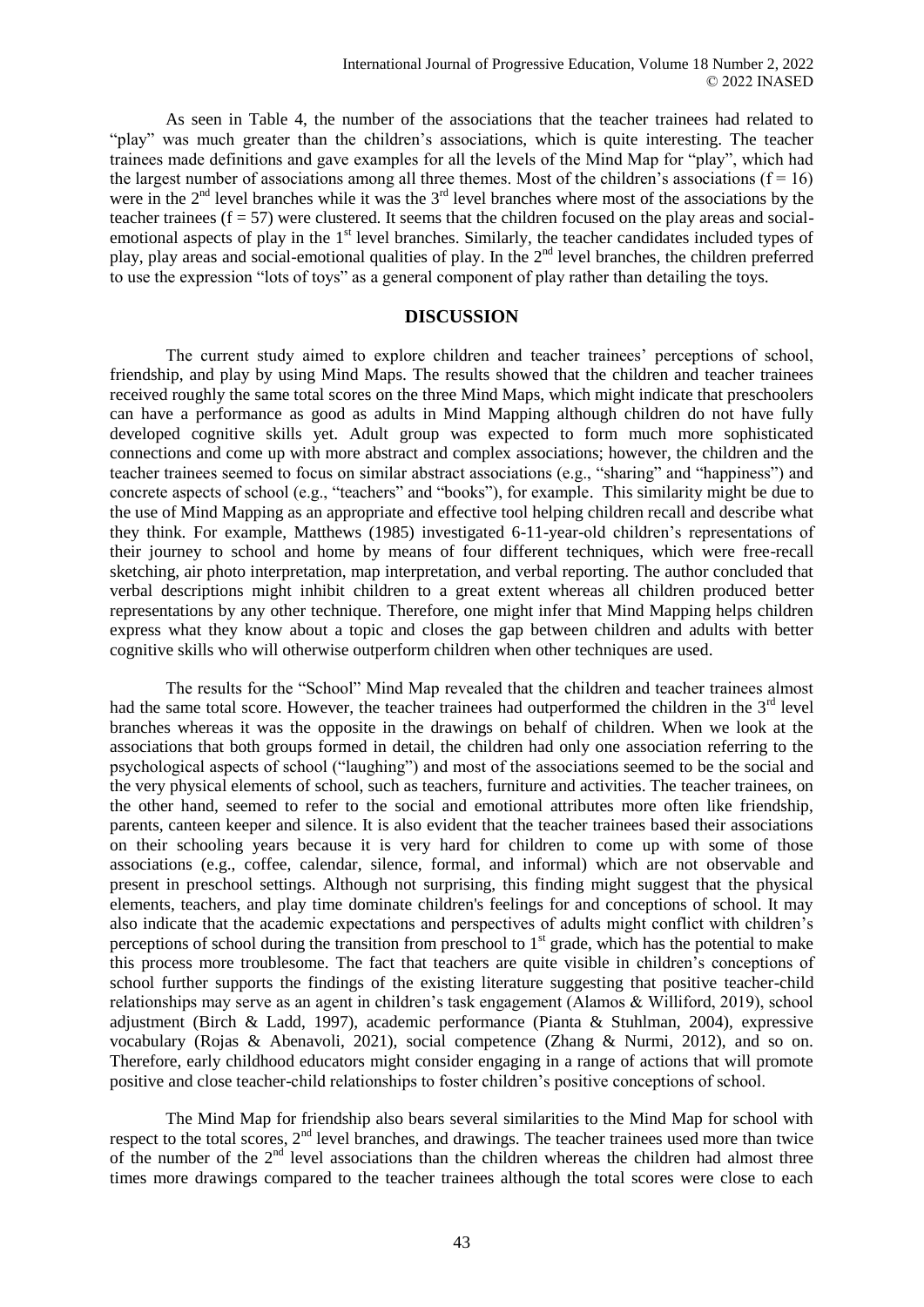As seen in Table 4, the number of the associations that the teacher trainees had related to "play" was much greater than the children's associations, which is quite interesting. The teacher trainees made definitions and gave examples for all the levels of the Mind Map for "play", which had the largest number of associations among all three themes. Most of the children's associations ( $f = 16$ ) were in the  $2<sup>nd</sup>$  level branches while it was the  $3<sup>rd</sup>$  level branches where most of the associations by the teacher trainees  $(f = 57)$  were clustered. It seems that the children focused on the play areas and socialemotional aspects of play in the 1<sup>st</sup> level branches. Similarly, the teacher candidates included types of play, play areas and social-emotional qualities of play. In the  $2<sup>nd</sup>$  level branches, the children preferred to use the expression "lots of toys" as a general component of play rather than detailing the toys.

# **DISCUSSION**

The current study aimed to explore children and teacher trainees' perceptions of school, friendship, and play by using Mind Maps. The results showed that the children and teacher trainees received roughly the same total scores on the three Mind Maps, which might indicate that preschoolers can have a performance as good as adults in Mind Mapping although children do not have fully developed cognitive skills yet. Adult group was expected to form much more sophisticated connections and come up with more abstract and complex associations; however, the children and the teacher trainees seemed to focus on similar abstract associations (e.g., "sharing" and "happiness") and concrete aspects of school (e.g., "teachers" and "books"), for example. This similarity might be due to the use of Mind Mapping as an appropriate and effective tool helping children recall and describe what they think. For example, Matthews (1985) investigated 6-11-year-old children's representations of their journey to school and home by means of four different techniques, which were free-recall sketching, air photo interpretation, map interpretation, and verbal reporting. The author concluded that verbal descriptions might inhibit children to a great extent whereas all children produced better representations by any other technique. Therefore, one might infer that Mind Mapping helps children express what they know about a topic and closes the gap between children and adults with better cognitive skills who will otherwise outperform children when other techniques are used.

The results for the "School" Mind Map revealed that the children and teacher trainees almost had the same total score. However, the teacher trainees had outperformed the children in the  $3<sup>rd</sup>$  level branches whereas it was the opposite in the drawings on behalf of children. When we look at the associations that both groups formed in detail, the children had only one association referring to the psychological aspects of school ("laughing") and most of the associations seemed to be the social and the very physical elements of school, such as teachers, furniture and activities. The teacher trainees, on the other hand, seemed to refer to the social and emotional attributes more often like friendship, parents, canteen keeper and silence. It is also evident that the teacher trainees based their associations on their schooling years because it is very hard for children to come up with some of those associations (e.g., coffee, calendar, silence, formal, and informal) which are not observable and present in preschool settings. Although not surprising, this finding might suggest that the physical elements, teachers, and play time dominate children's feelings for and conceptions of school. It may also indicate that the academic expectations and perspectives of adults might conflict with children's perceptions of school during the transition from preschool to  $1<sup>st</sup>$  grade, which has the potential to make this process more troublesome. The fact that teachers are quite visible in children's conceptions of school further supports the findings of the existing literature suggesting that positive teacher-child relationships may serve as an agent in children's task engagement (Alamos & Williford, 2019), school adjustment (Birch & Ladd, 1997), academic performance (Pianta & Stuhlman, 2004), expressive vocabulary (Rojas & Abenavoli, 2021), social competence (Zhang & Nurmi, 2012), and so on. Therefore, early childhood educators might consider engaging in a range of actions that will promote positive and close teacher-child relationships to foster children's positive conceptions of school.

The Mind Map for friendship also bears several similarities to the Mind Map for school with respect to the total scores, 2<sup>nd</sup> level branches, and drawings. The teacher trainees used more than twice of the number of the  $2<sup>nd</sup>$  level associations than the children whereas the children had almost three times more drawings compared to the teacher trainees although the total scores were close to each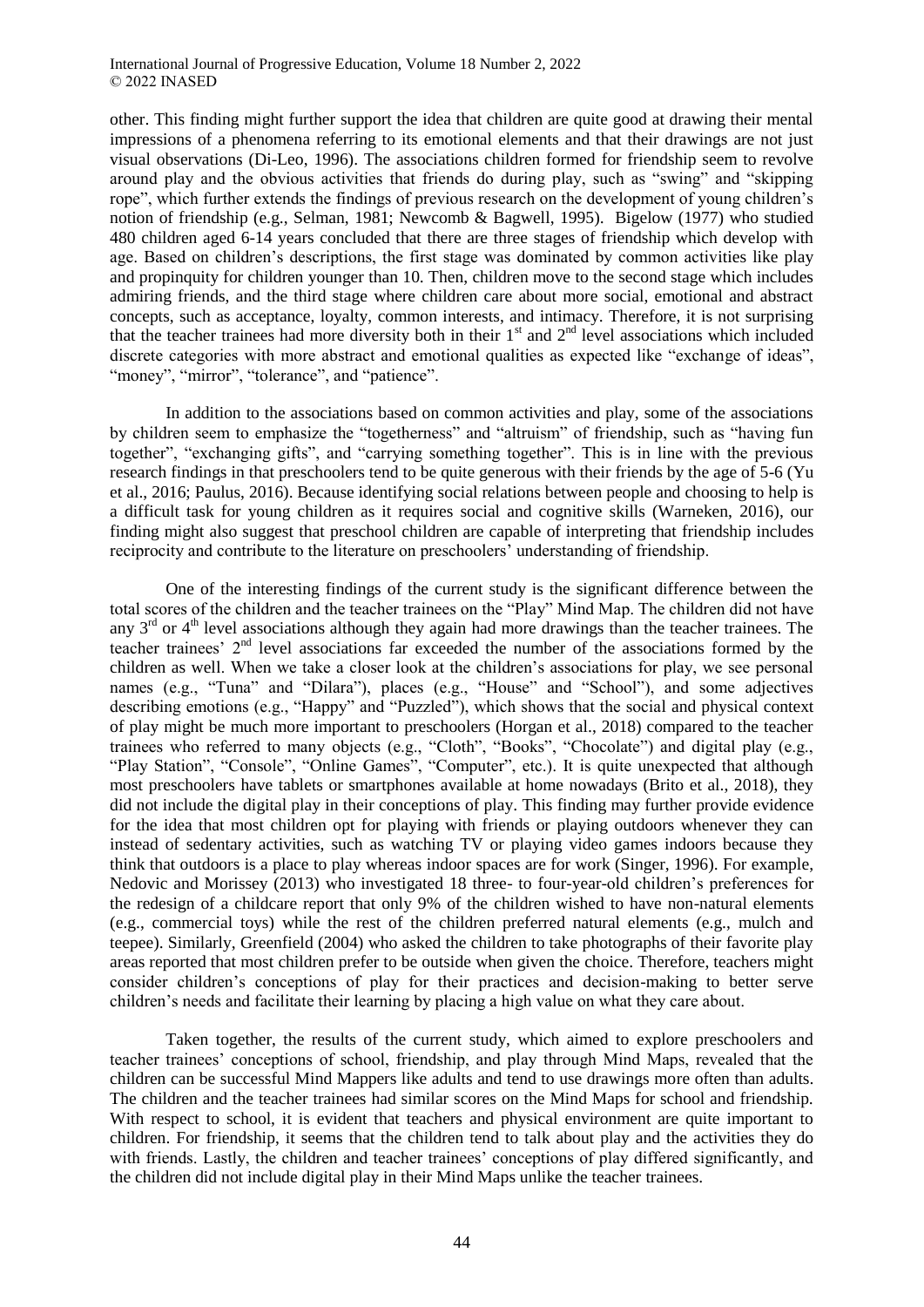other. This finding might further support the idea that children are quite good at drawing their mental impressions of a phenomena referring to its emotional elements and that their drawings are not just visual observations (Di-Leo, 1996). The associations children formed for friendship seem to revolve around play and the obvious activities that friends do during play, such as "swing" and "skipping rope", which further extends the findings of previous research on the development of young children's notion of friendship (e.g., Selman, 1981; Newcomb & Bagwell, 1995). Bigelow (1977) who studied 480 children aged 6-14 years concluded that there are three stages of friendship which develop with age. Based on children's descriptions, the first stage was dominated by common activities like play and propinquity for children younger than 10. Then, children move to the second stage which includes admiring friends, and the third stage where children care about more social, emotional and abstract concepts, such as acceptance, loyalty, common interests, and intimacy. Therefore, it is not surprising that the teacher trainees had more diversity both in their  $1<sup>st</sup>$  and  $2<sup>nd</sup>$  level associations which included discrete categories with more abstract and emotional qualities as expected like "exchange of ideas", "money", "mirror", "tolerance", and "patience".

In addition to the associations based on common activities and play, some of the associations by children seem to emphasize the "togetherness" and "altruism" of friendship, such as "having fun together", "exchanging gifts", and "carrying something together". This is in line with the previous research findings in that preschoolers tend to be quite generous with their friends by the age of 5-6 (Yu et al., 2016; Paulus, 2016). Because identifying social relations between people and choosing to help is a difficult task for young children as it requires social and cognitive skills (Warneken, 2016), our finding might also suggest that preschool children are capable of interpreting that friendship includes reciprocity and contribute to the literature on preschoolers' understanding of friendship.

One of the interesting findings of the current study is the significant difference between the total scores of the children and the teacher trainees on the "Play" Mind Map. The children did not have any  $3<sup>rd</sup>$  or  $4<sup>th</sup>$  level associations although they again had more drawings than the teacher trainees. The teacher trainees' 2nd level associations far exceeded the number of the associations formed by the children as well. When we take a closer look at the children's associations for play, we see personal names (e.g., "Tuna" and "Dilara"), places (e.g., "House" and "School"), and some adjectives describing emotions (e.g., "Happy" and "Puzzled"), which shows that the social and physical context of play might be much more important to preschoolers (Horgan et al., 2018) compared to the teacher trainees who referred to many objects (e.g., "Cloth", "Books", "Chocolate") and digital play (e.g., "Play Station", "Console", "Online Games", "Computer", etc.). It is quite unexpected that although most preschoolers have tablets or smartphones available at home nowadays (Brito et al., 2018), they did not include the digital play in their conceptions of play. This finding may further provide evidence for the idea that most children opt for playing with friends or playing outdoors whenever they can instead of sedentary activities, such as watching TV or playing video games indoors because they think that outdoors is a place to play whereas indoor spaces are for work (Singer, 1996). For example, Nedovic and Morissey (2013) who investigated 18 three- to four-year-old children's preferences for the redesign of a childcare report that only 9% of the children wished to have non-natural elements (e.g., commercial toys) while the rest of the children preferred natural elements (e.g., mulch and teepee). Similarly, Greenfield (2004) who asked the children to take photographs of their favorite play areas reported that most children prefer to be outside when given the choice. Therefore, teachers might consider children's conceptions of play for their practices and decision-making to better serve children's needs and facilitate their learning by placing a high value on what they care about.

Taken together, the results of the current study, which aimed to explore preschoolers and teacher trainees' conceptions of school, friendship, and play through Mind Maps, revealed that the children can be successful Mind Mappers like adults and tend to use drawings more often than adults. The children and the teacher trainees had similar scores on the Mind Maps for school and friendship. With respect to school, it is evident that teachers and physical environment are quite important to children. For friendship, it seems that the children tend to talk about play and the activities they do with friends. Lastly, the children and teacher trainees' conceptions of play differed significantly, and the children did not include digital play in their Mind Maps unlike the teacher trainees.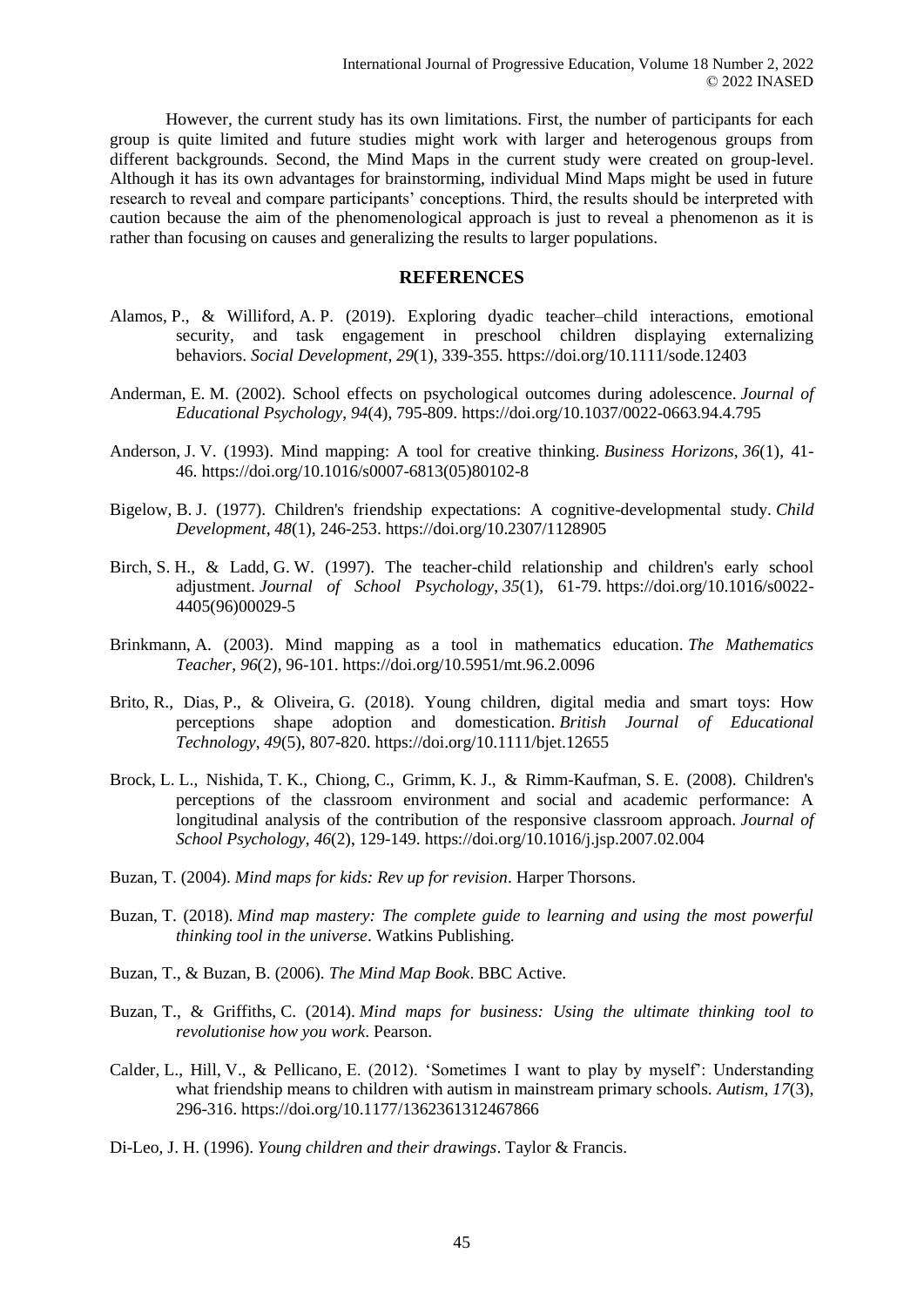However, the current study has its own limitations. First, the number of participants for each group is quite limited and future studies might work with larger and heterogenous groups from different backgrounds. Second, the Mind Maps in the current study were created on group-level. Although it has its own advantages for brainstorming, individual Mind Maps might be used in future research to reveal and compare participants' conceptions. Third, the results should be interpreted with caution because the aim of the phenomenological approach is just to reveal a phenomenon as it is rather than focusing on causes and generalizing the results to larger populations.

### **REFERENCES**

- Alamos, P., & Williford, A. P. (2019). Exploring dyadic teacher–child interactions, emotional security, and task engagement in preschool children displaying externalizing behaviors. *Social Development*, *29*(1), 339-355. https://doi.org/10.1111/sode.12403
- Anderman, E. M. (2002). School effects on psychological outcomes during adolescence. *Journal of Educational Psychology*, *94*(4), 795-809. https://doi.org/10.1037/0022-0663.94.4.795
- Anderson, J. V. (1993). Mind mapping: A tool for creative thinking. *Business Horizons*, *36*(1), 41- 46. https://doi.org/10.1016/s0007-6813(05)80102-8
- Bigelow, B. J. (1977). Children's friendship expectations: A cognitive-developmental study. *Child Development*, *48*(1), 246-253. https://doi.org/10.2307/1128905
- Birch, S. H., & Ladd, G. W. (1997). The teacher-child relationship and children's early school adjustment. *Journal of School Psychology*, *35*(1), 61-79. https://doi.org/10.1016/s0022- 4405(96)00029-5
- Brinkmann, A. (2003). Mind mapping as a tool in mathematics education. *The Mathematics Teacher*, *96*(2), 96-101. https://doi.org/10.5951/mt.96.2.0096
- Brito, R., Dias, P., & Oliveira, G. (2018). Young children, digital media and smart toys: How perceptions shape adoption and domestication. *British Journal of Educational Technology*, *49*(5), 807-820. https://doi.org/10.1111/bjet.12655
- Brock, L. L., Nishida, T. K., Chiong, C., Grimm, K. J., & Rimm-Kaufman, S. E. (2008). Children's perceptions of the classroom environment and social and academic performance: A longitudinal analysis of the contribution of the responsive classroom approach. *Journal of School Psychology*, *46*(2), 129-149. https://doi.org/10.1016/j.jsp.2007.02.004
- Buzan, T. (2004). *Mind maps for kids: Rev up for revision*. Harper Thorsons.
- Buzan, T. (2018). *Mind map mastery: The complete guide to learning and using the most powerful thinking tool in the universe*. Watkins Publishing.
- Buzan, T., & Buzan, B. (2006). *The Mind Map Book*. BBC Active.
- Buzan, T., & Griffiths, C. (2014). *Mind maps for business: Using the ultimate thinking tool to revolutionise how you work*. Pearson.
- Calder, L., Hill, V., & Pellicano, E. (2012). 'Sometimes I want to play by myself': Understanding what friendship means to children with autism in mainstream primary schools. *Autism*, *17*(3), 296-316. https://doi.org/10.1177/1362361312467866
- Di-Leo, J. H. (1996). *Young children and their drawings*. Taylor & Francis.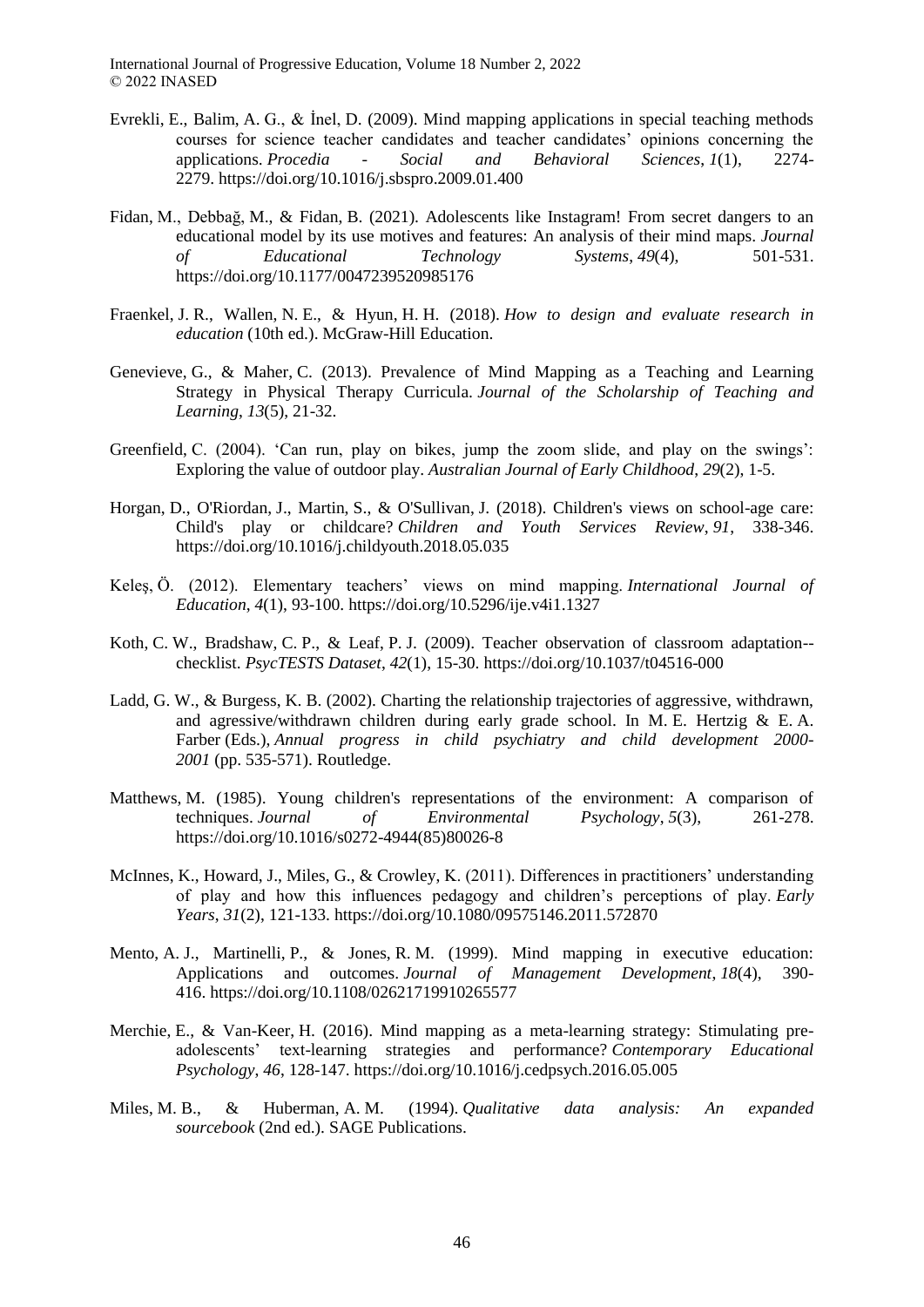- Evrekli, E., Balim, A. G., & İnel, D. (2009). Mind mapping applications in special teaching methods courses for science teacher candidates and teacher candidates' opinions concerning the applications. *Procedia - Social and Behavioral Sciences*, *1*(1), 2274- 2279. https://doi.org/10.1016/j.sbspro.2009.01.400
- Fidan, M., Debbağ, M., & Fidan, B. (2021). Adolescents like Instagram! From secret dangers to an educational model by its use motives and features: An analysis of their mind maps. *Journal of Educational Technology Systems*, *49*(4), 501-531. https://doi.org/10.1177/0047239520985176
- Fraenkel, J. R., Wallen, N. E., & Hyun, H. H. (2018). *How to design and evaluate research in education* (10th ed.). McGraw-Hill Education.
- Genevieve, G., & Maher, C. (2013). Prevalence of Mind Mapping as a Teaching and Learning Strategy in Physical Therapy Curricula. *Journal of the Scholarship of Teaching and Learning*, *13*(5), 21-32.
- Greenfield, C. (2004). 'Can run, play on bikes, jump the zoom slide, and play on the swings': Exploring the value of outdoor play. *Australian Journal of Early Childhood*, *29*(2), 1-5.
- Horgan, D., O'Riordan, J., Martin, S., & O'Sullivan, J. (2018). Children's views on school-age care: Child's play or childcare? *Children and Youth Services Review*, *91*, 338-346. https://doi.org/10.1016/j.childyouth.2018.05.035
- Keleş, Ö. (2012). Elementary teachers' views on mind mapping. *International Journal of Education*, *4*(1), 93-100. https://doi.org/10.5296/ije.v4i1.1327
- Koth, C. W., Bradshaw, C. P., & Leaf, P. J. (2009). Teacher observation of classroom adaptation- checklist. *PsycTESTS Dataset*, *42*(1), 15-30. https://doi.org/10.1037/t04516-000
- Ladd, G. W., & Burgess, K. B. (2002). Charting the relationship trajectories of aggressive, withdrawn, and agressive/withdrawn children during early grade school. In M. E. Hertzig & E. A. Farber (Eds.), *Annual progress in child psychiatry and child development 2000- 2001* (pp. 535-571). Routledge.
- Matthews, M. (1985). Young children's representations of the environment: A comparison of techniques. *Journal of Environmental Psychology*, *5*(3), 261-278. https://doi.org/10.1016/s0272-4944(85)80026-8
- McInnes, K., Howard, J., Miles, G., & Crowley, K. (2011). Differences in practitioners' understanding of play and how this influences pedagogy and children's perceptions of play. *Early Years*, *31*(2), 121-133. https://doi.org/10.1080/09575146.2011.572870
- Mento, A. J., Martinelli, P., & Jones, R. M. (1999). Mind mapping in executive education: Applications and outcomes. *Journal of Management Development*, *18*(4), 390- 416. https://doi.org/10.1108/02621719910265577
- Merchie, E., & Van-Keer, H. (2016). Mind mapping as a meta-learning strategy: Stimulating preadolescents' text-learning strategies and performance? *Contemporary Educational Psychology*, *46*, 128-147. https://doi.org/10.1016/j.cedpsych.2016.05.005
- Miles, M. B., & Huberman, A. M. (1994). *Qualitative data analysis: An expanded sourcebook* (2nd ed.). SAGE Publications.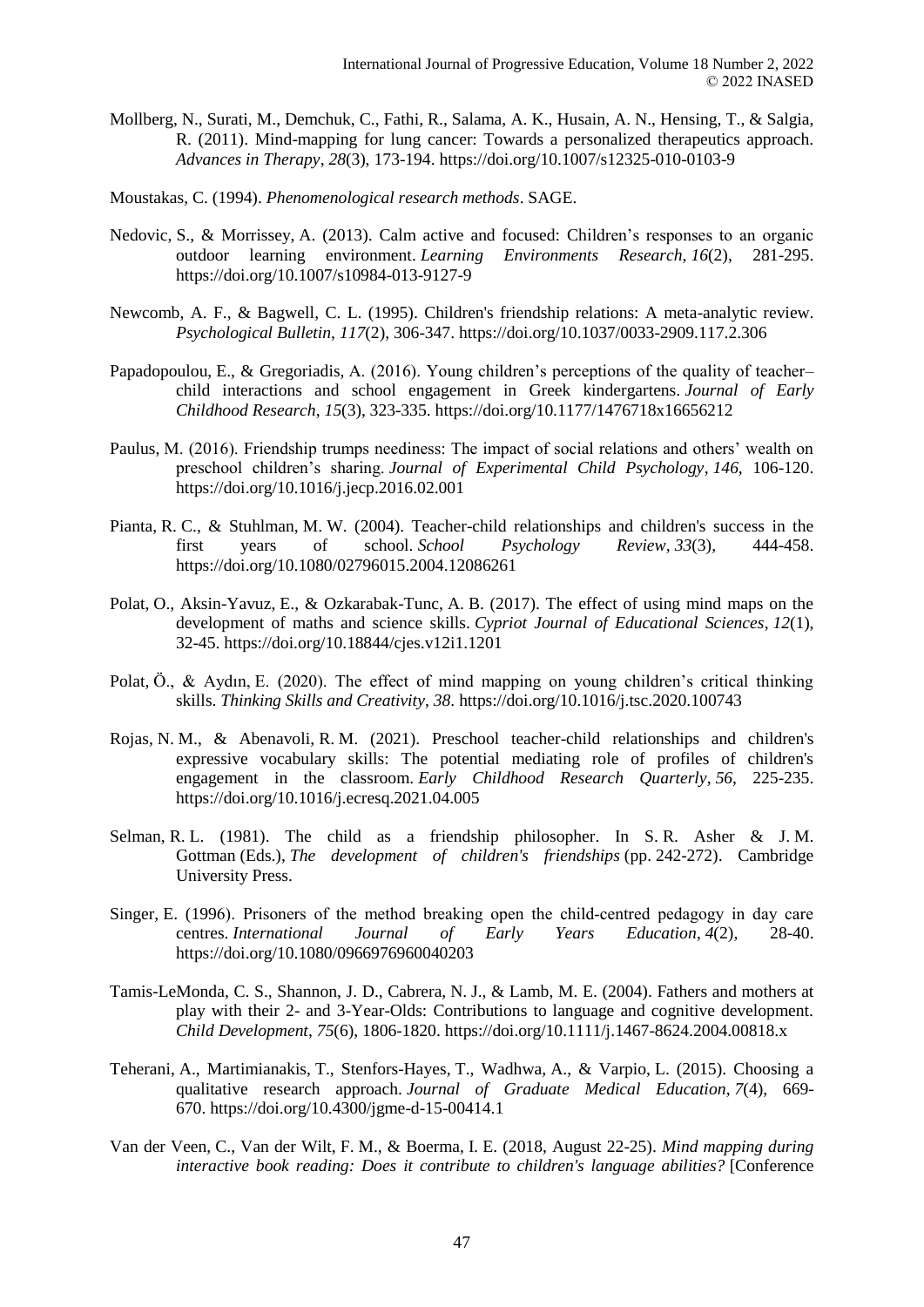- Mollberg, N., Surati, M., Demchuk, C., Fathi, R., Salama, A. K., Husain, A. N., Hensing, T., & Salgia, R. (2011). Mind-mapping for lung cancer: Towards a personalized therapeutics approach. *Advances in Therapy*, *28*(3), 173-194. https://doi.org/10.1007/s12325-010-0103-9
- Moustakas, C. (1994). *Phenomenological research methods*. SAGE.
- Nedovic, S., & Morrissey, A. (2013). Calm active and focused: Children's responses to an organic outdoor learning environment. *Learning Environments Research*, *16*(2), 281-295. https://doi.org/10.1007/s10984-013-9127-9
- Newcomb, A. F., & Bagwell, C. L. (1995). Children's friendship relations: A meta-analytic review. *Psychological Bulletin*, *117*(2), 306-347. https://doi.org/10.1037/0033-2909.117.2.306
- Papadopoulou, E., & Gregoriadis, A. (2016). Young children's perceptions of the quality of teacher– child interactions and school engagement in Greek kindergartens. *Journal of Early Childhood Research*, *15*(3), 323-335. https://doi.org/10.1177/1476718x16656212
- Paulus, M. (2016). Friendship trumps neediness: The impact of social relations and others' wealth on preschool children's sharing. *Journal of Experimental Child Psychology*, *146*, 106-120. https://doi.org/10.1016/j.jecp.2016.02.001
- Pianta, R. C., & Stuhlman, M. W. (2004). Teacher-child relationships and children's success in the first years of school. *School Psychology Review*, *33*(3), 444-458. https://doi.org/10.1080/02796015.2004.12086261
- Polat, O., Aksin-Yavuz, E., & Ozkarabak-Tunc, A. B. (2017). The effect of using mind maps on the development of maths and science skills. *Cypriot Journal of Educational Sciences*, *12*(1), 32-45. https://doi.org/10.18844/cjes.v12i1.1201
- Polat, Ö., & Aydın, E. (2020). The effect of mind mapping on young children's critical thinking skills. *Thinking Skills and Creativity*, *38*. https://doi.org/10.1016/j.tsc.2020.100743
- Rojas, N. M., & Abenavoli, R. M. (2021). Preschool teacher-child relationships and children's expressive vocabulary skills: The potential mediating role of profiles of children's engagement in the classroom. *Early Childhood Research Quarterly*, *56*, 225-235. https://doi.org/10.1016/j.ecresq.2021.04.005
- Selman, R. L. (1981). The child as a friendship philosopher. In S. R. Asher & J. M. Gottman (Eds.), *The development of children's friendships* (pp. 242-272). Cambridge University Press.
- Singer, E. (1996). Prisoners of the method breaking open the child-centred pedagogy in day care centres. *International Journal of Early Years Education*, *4*(2), 28-40. https://doi.org/10.1080/0966976960040203
- Tamis-LeMonda, C. S., Shannon, J. D., Cabrera, N. J., & Lamb, M. E. (2004). Fathers and mothers at play with their 2- and 3-Year-Olds: Contributions to language and cognitive development. *Child Development*, *75*(6), 1806-1820. https://doi.org/10.1111/j.1467-8624.2004.00818.x
- Teherani, A., Martimianakis, T., Stenfors-Hayes, T., Wadhwa, A., & Varpio, L. (2015). Choosing a qualitative research approach. *Journal of Graduate Medical Education*, *7*(4), 669- 670. https://doi.org/10.4300/jgme-d-15-00414.1
- Van der Veen, C., Van der Wilt, F. M., & Boerma, I. E. (2018, August 22-25). *Mind mapping during interactive book reading: Does it contribute to children's language abilities?* [Conference